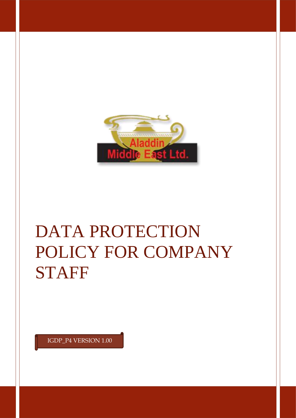

# DATA PROTECTION POLICY FOR COMPANY **STAFF**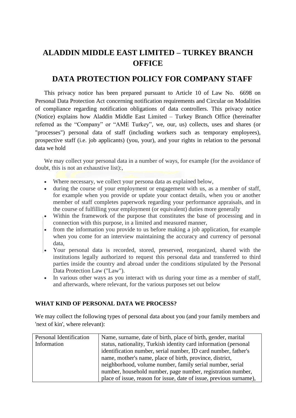## **ALADDIN MIDDLE EAST LIMITED – TURKEY BRANCH OFFICE**

### **DATA PROTECTION POLICY FOR COMPANY STAFF**

This privacy notice has been prepared pursuant to Article 10 of Law No. 6698 on Personal Data Protection Act concerning notification requirements and Circular on Modalities of compliance regarding notification obligations of data controllers. This privacy notice (Notice) explains how Aladdin Middle East Limited – Turkey Branch Office (hereinafter referred as the "Company" or "AME Turkey", we, our, us) collects, uses and shares (or "processes") personal data of staff (including workers such as temporary employees), prospective staff (i.e. job applicants) (you, your), and your rights in relation to the personal data we hold

We may collect your personal data in a number of ways, for example (for the avoidance of doubt, this is not an exhaustive list):,

- Where necessary, we collect your persona data as explained below,
- during the course of your employment or engagement with us, as a member of staff, for example when you provide or update your contact details, when you or another member of staff completes paperwork regarding your performance appraisals, and in the course of fulfilling your employment (or equivalent) duties more generally
- Within the framework of the purpose that constitutes the base of processing and in connection with this purpose, in a limited and measured manner,
- from the information you provide to us before making a job application, for example when you come for an interview maintaining the accuracy and currency of personal data,
- Your personal data is recorded, stored, preserved, reorganized, shared with the institutions legally authorized to request this personal data and transferred to third parties inside the country and abroad under the conditions stipulated by the Personal Data Protection Law ("Law").
- In various other ways as you interact with us during your time as a member of staff, and afterwards, where relevant, for the various purposes set out below

#### **WHAT KIND OF PERSONAL DATA WE PROCESS?**

We may collect the following types of personal data about you (and your family members and 'next of kin', where relevant):

| Personal Identification | Name, surname, date of birth, place of birth, gender, marital       |
|-------------------------|---------------------------------------------------------------------|
| Information             | status, nationality, Turkish identity card information (personal    |
|                         | identification number, serial number, ID card number, father's      |
|                         | name, mother's name, place of birth, province, district,            |
|                         | neighborhood, volume number, family serial number, serial           |
|                         | number, household number, page number, registration number,         |
|                         | place of issue, reason for issue, date of issue, previous surname), |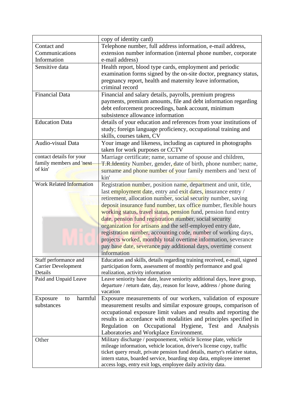|                                 | copy of identity card)                                                       |
|---------------------------------|------------------------------------------------------------------------------|
| Contact and                     | Telephone number, full address information, e-mail address,                  |
| Communications                  | extension number information (internal phone number, corporate               |
| Information                     | e-mail address)                                                              |
| Sensitive data                  | Health report, blood type cards, employment and periodic                     |
|                                 | examination forms signed by the on-site doctor, pregnancy status,            |
|                                 | pregnancy report, health and maternity leave information,                    |
|                                 | criminal record                                                              |
| <b>Financial Data</b>           | Financial and salary details, payrolls, premium progress                     |
|                                 | payments, premium amounts, file and debt information regarding               |
|                                 | debt enforcement proceedings, bank account, minimum                          |
|                                 | subsistence allowance information                                            |
| <b>Education Data</b>           | details of your education and references from your institutions of           |
|                                 | study; foreign language proficiency, occupational training and               |
|                                 | skills, courses taken, CV                                                    |
| Audio-visual Data               | Your image and likeness, including as captured in photographs                |
|                                 | taken for work purposes or CCTV                                              |
| contact details for your        | Marriage certificate; name, surname of spouse and children,                  |
| family members and 'next        | T.R.Identity Number, gender, date of birth, phone number; name,              |
| of kin'                         | surname and phone number of your family members and 'next of                 |
|                                 | kin'                                                                         |
| <b>Work Related Information</b> | Registration number, position name, department and unit, title,              |
|                                 | last employment date, entry and exit dates, insurance entry /                |
|                                 | retirement, allocation number, social security number, saving                |
|                                 | deposit insurance fund number, tax office number, flexible hours             |
|                                 | working status, travel status, pension fund, pension fund entry              |
|                                 | date, pension fund registration number, social security                      |
|                                 | organization for artisans and the self-employed entry date,                  |
|                                 | registration number, accounting code, number of working days,                |
|                                 | projects worked, monthly total overtime information, severance               |
|                                 | pay base date, severance pay additional days, overtime consent               |
|                                 | information                                                                  |
| Staff performance and           | Education and skills, details regarding training received, e-mail, signed    |
| <b>Carrier Development</b>      | participation form, assessment of monthly performance and goal               |
| Details                         | realization, activity information                                            |
| Paid and Unpaid Leave           | Leave seniority base date, leave seniority additional days, leave group,     |
|                                 | departure / return date, day, reason for leave, address / phone during       |
|                                 | vacation                                                                     |
| harmful<br>Exposure<br>to       | Exposure measurements of our workers, validation of exposure                 |
| substances                      | measurement results and similar exposure groups, comparison of               |
|                                 | occupational exposure limit values and results and reporting the             |
|                                 | results in accordance with modalities and principles specified in            |
|                                 | Regulation on Occupational Hygiene, Test and Analysis                        |
|                                 | Laboratories and Workplace Environment.                                      |
| Other                           | Military discharge / postponement, vehicle license plate, vehicle            |
|                                 | mileage information, vehicle location, driver's license copy, traffic        |
|                                 | ticket query result, private pension fund details, martyr's relative status, |
|                                 | intern status, boarded service, boarding stop data, employee internet        |
|                                 | access logs, entry exit logs, employee daily activity data.                  |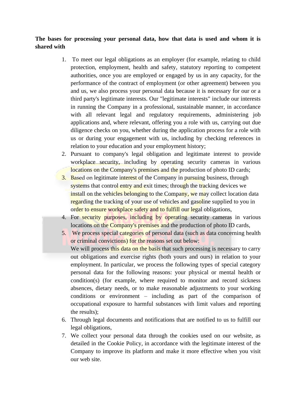#### **The bases for processing your personal data, how that data is used and whom it is shared with**

- 1. To meet our legal obligations as an employer (for example, relating to child protection, employment, health and safety, statutory reporting to competent authorities, once you are employed or engaged by us in any capacity, for the performance of the contract of employment (or other agreement) between you and us, we also process your personal data because it is necessary for our or a third party's legitimate interests. Our "legitimate interests" include our interests in running the Company in a professional, sustainable manner, in accordance with all relevant legal and regulatory requirements, administering job applications and, where relevant, offering you a role with us, carrying out due diligence checks on you, whether during the application process for a role with us or during your engagement with us, including by checking references in relation to your education and your employment history;
- 2. Pursuant to company's legal obligation and legitimate interest to provide workplace security, including by operating security cameras in various locations on the Company's premises and the production of photo ID cards;
- 3. Based on legitimate interest of the Company in pursuing business, through systems that control entry and exit times; through the tracking devices we install on the vehicles belonging to the Company, we may collect location data regarding the tracking of your use of vehicles and gasoline supplied to you in order to ensure workplace safety and to fulfill our legal obligations,
- 4. For security purposes, including by operating security cameras in various locations on the Company's premises and the production of photo ID cards,
- 5. We process special categories of personal data (such as data concerning health or criminal convictions) for the reasons set out below:

We will process this data on the basis that such processing is necessary to carry out obligations and exercise rights (both yours and ours) in relation to your employment. In particular, we process the following types of special category personal data for the following reasons: your physical or mental health or condition(s) (for example, where required to monitor and record sickness absences, dietary needs, or to make reasonable adjustments to your working conditions or environment – including as part of the comparison of occupational exposure to harmful substances with limit values and reporting the results);

- 6. Through legal documents and notifications that are notified to us to fulfill our legal obligations,
- 7. We collect your personal data through the cookies used on our website, as detailed in the Cookie Policy, in accordance with the legitimate interest of the Company to improve its platform and make it more effective when you visit our web site.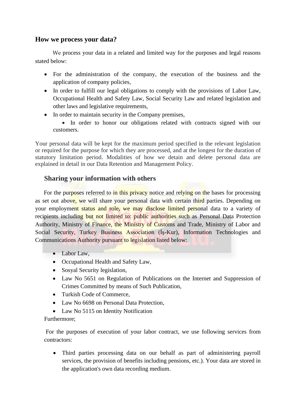#### **How we process your data?**

We process your data in a related and limited way for the purposes and legal reasons stated below:

- For the administration of the company, the execution of the business and the application of company policies,
- In order to fulfill our legal obligations to comply with the provisions of Labor Law, Occupational Health and Safety Law, Social Security Law and related legislation and other laws and legislative requirements,
- In order to maintain security in the Company premises,

• In order to honor our obligations related with contracts signed with our customers.

Your personal data will be kept for the maximum period specified in the relevant legislation or required for the purpose for which they are processed, and at the longest for the duration of statutory limitation period. Modalities of how we detain and delete personal data are explained in detail in our Data Retention and Management Policy.

#### **Sharing your information with others**

For the purposes referred to in this privacy notice and relying on the bases for processing as set out above, we will share your personal data with certain third parties. Depending on your employment status and role, we may disclose limited personal data to a variety of recipients including but not limited to: public authorities such as Personal Data Protection Authority, Ministry of Finance, the Ministry of Customs and Trade, Ministry of Labor and Social Security, Turkey Business Association (İş-Kur), Information Technologies and Communications Authority pursuant to legislation listed below:

- Labor Law,
- Occupational Health and Safety Law,
- Sosyal Security legislation,
- Law No 5651 on Regulation of Publications on the Internet and Suppression of Crimes Committed by means of Such Publication,
- Turkish Code of Commerce,
- Law No 6698 on Personal Data Protection.
- Law No 5115 on Identity Notification

#### Furthermore;

For the purposes of execution of your labor contract, we use following services from contractors:

• Third parties processing data on our behalf as part of administering payroll services, the provision of benefits including pensions, etc.). Your data are stored in the application's own data recording medium.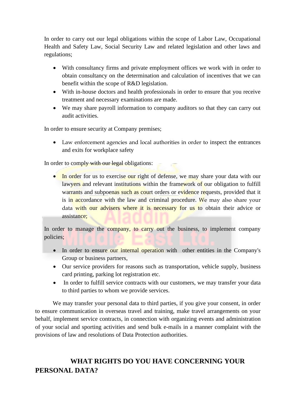In order to carry out our legal obligations within the scope of Labor Law, Occupational Health and Safety Law, Social Security Law and related legislation and other laws and regulations;

- With consultancy firms and private employment offices we work with in order to obtain consultancy on the determination and calculation of incentives that we can benefit within the scope of R&D legislation.
- With in-house doctors and health professionals in order to ensure that you receive treatment and necessary examinations are made.
- We may share payroll information to company auditors so that they can carry out audit activities.

In order to ensure security at Company premises;

• Law enforcement agencies and local authorities in order to inspect the entrances and exits for workplace safety

In order to comply with our legal obligations:

• In order for us to exercise our right of defense, we may share your data with our lawyers and relevant institutions within the framework of our obligation to fulfill warrants and subpoenas such as court orders or evidence requests, provided that it is in accordance with the law and criminal procedure. We may also share your data with our advisers where it is necessary for us to obtain their advice or assistance:

In order to manage the company, to carry out the business, to implement company policies;

- In order to ensure our internal operation with other entities in the Company's Group or business partners,
- Our service providers for reasons such as transportation, vehicle supply, business card printing, parking lot registration etc.
- In order to fulfill service contracts with our customers, we may transfer your data to third parties to whom we provide services.

We may transfer your personal data to third parties, if you give your consent, in order to ensure communication in overseas travel and training, make travel arrangements on your behalf, implement service contracts, in connection with organizing events and administration of your social and sporting activities and send bulk e-mails in a manner complaint with the provisions of law and resolutions of Data Protection authorities.

## **WHAT RIGHTS DO YOU HAVE CONCERNING YOUR PERSONAL DATA?**